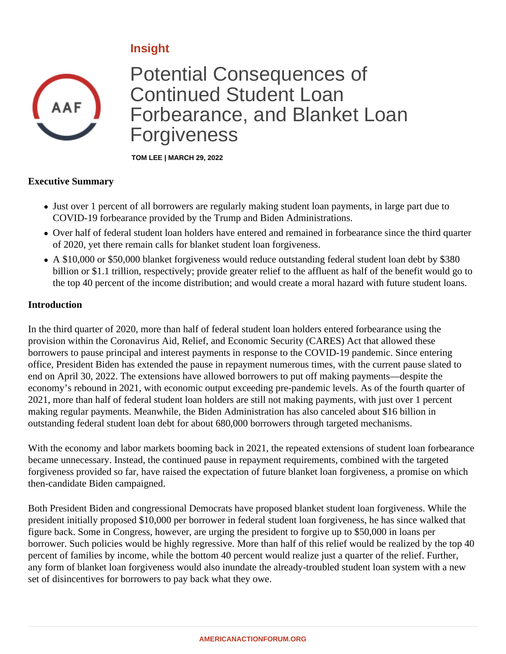# **Insight**



# Potential Consequences of Continued Student Loan Forbearance, and Blanket Loan Forgiveness

**TOM LEE | MARCH 29, 2022**

#### **Executive Summary**

- Just over 1 percent of all borrowers are regularly making student loan payments, in large part due to COVID-19 forbearance provided by the Trump and Biden Administrations.
- Over half of federal student loan holders have entered and remained in forbearance since the third quarter of 2020, yet there remain calls for blanket student loan forgiveness.
- A \$10,000 or \$50,000 blanket forgiveness would reduce outstanding federal student loan debt by \$380 billion or \$1.1 trillion, respectively; provide greater relief to the affluent as half of the benefit would go to the top 40 percent of the income distribution; and would create a moral hazard with future student loans.

#### **Introduction**

In the third quarter of 2020, more than half of federal student loan holders entered forbearance using the provision within the Coronavirus Aid, Relief, and Economic Security (CARES) Act that allowed these borrowers to pause principal and interest payments in response to the COVID-19 pandemic. Since entering office, President Biden has extended the pause in repayment numerous times, with the current pause slated to end on April 30, 2022. The extensions have allowed borrowers to put off making payments—despite the economy's rebound in 2021, with economic output exceeding pre-pandemic levels. As of the fourth quarter of 2021, more than half of federal student loan holders are still not making payments, with just over 1 percent making regular payments. Meanwhile, the Biden Administration has also canceled about \$16 billion in outstanding federal student loan debt for about 680,000 borrowers through targeted mechanisms.

With the economy and labor markets booming back in 2021, the repeated extensions of student loan forbearance became unnecessary. Instead, the continued pause in repayment requirements, combined with the targeted forgiveness provided so far, have raised the expectation of future blanket loan forgiveness, a promise on which then-candidate Biden campaigned.

Both President Biden and congressional Democrats have proposed blanket student loan forgiveness. While the president initially proposed \$10,000 per borrower in federal student loan forgiveness, he has since walked that figure back. Some in Congress, however, are urging the president to forgive up to \$50,000 in loans per borrower. Such policies would be highly regressive. More than half of this relief would be realized by the top 40 percent of families by income, while the bottom 40 percent would realize just a quarter of the relief. Further, any form of blanket loan forgiveness would also inundate the already-troubled student loan system with a new set of disincentives for borrowers to pay back what they owe.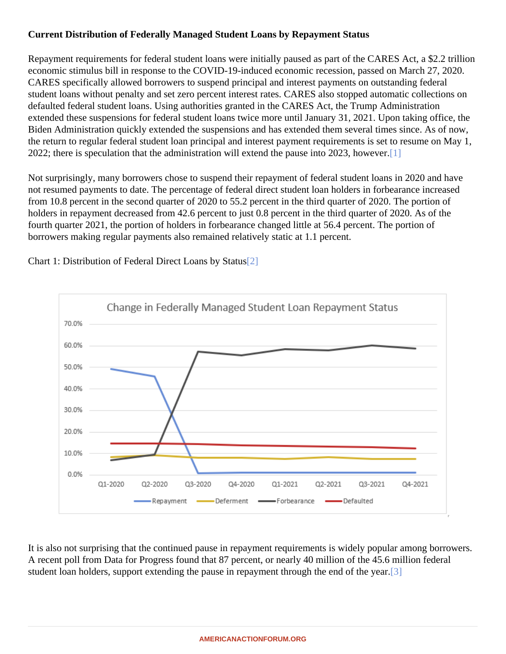## <span id="page-1-0"></span>Current Distribution of Federally Managed Student Loans by Repayment Status

Repayment requirements for federal student loans were initially paused as part of the CARES Act, a \$2.2 trilli economic stimulus bill in response to the COVID-19-induced economic recession, passed on March 27, 2020. CARES specifically allowed borrowers to suspend principal and interest payments on outstanding federal student loans without penalty and set zero percent interest rates. CARES also stopped automatic collections defaulted federal student loans. Using authorities granted in the CARES Act, the Trump Administration extended these suspensions for federal student loans twice more until January 31, 2021. Upon taking office, the Biden Administration quickly extended the suspensions and has extended them several times since. As of no the return to regular federal student loan principal and interest payment requirements is set to resume on May 2022; there is speculation that the administration will extend the pause into 2023, [how](#page-4-0)ever.

Not surprisingly, many borrowers chose to suspend their repayment of federal student loans in 2020 and have not resumed payments to date. The percentage of federal direct student loan holders in forbearance increase from 10.8 percent in the second quarter of 2020 to 55.2 percent in the third quarter of 2020. The portion of holders in repayment decreased from 42.6 percent to just 0.8 percent in the third quarter of 2020. As of the fourth quarter 2021, the portion of holders in forbearance changed little at 56.4 percent. The portion of borrowers making regular payments also remained relatively static at 1.1 percent.

Chart 1: Distribution of Federal Direct Loans by St[atu](#page-4-0)s

It is also not surprising that the continued pause in repayment requirements is widely popular among borrower A recent poll from Data for Progress found that 87 percent, or nearly 40 million of the 45.6 million federal student loan holders, support extending the pause in repayment through the end o[f the](#page-4-0) year.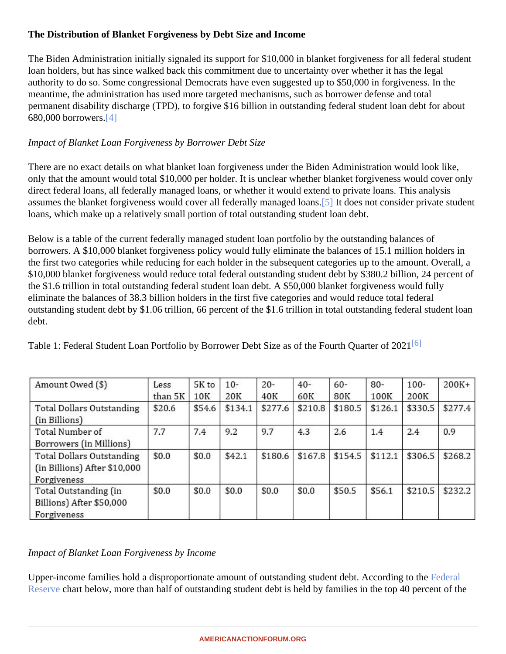## <span id="page-2-0"></span>The Distribution of Blanket Forgiveness by Debt Size and Income

The Biden Administration initially signaled its support for \$10,000 in blanket forgiveness for all federal student loan holders, but has since walked back this commitment due to uncertainty over whether it has the legal authority to do so. Some congressional Democrats have even suggested up to \$50,000 in forgiveness. In the meantime, the administration has used more targeted mechanisms, such as borrower defense and total permanent disability discharge (TPD), to forgive \$16 billion in outstanding federal student loan debt for about 680,000 borrower<sup>[\[4\]](#page-4-0)</sup>

#### Impact of Blanket Loan Forgiveness by Borrower Debt Size

There are no exact details on what blanket loan forgiveness under the Biden Administration would look like, only that the amount would total \$10,000 per holder. It is unclear whether blanket forgiveness would cover on direct federal loans, all federally managed loans, or whether it would extend to private loans. This analysis assumes the blanket forgiveness would cover all federally managed bures not consider private student loans, which make up a relatively small portion of total outstanding student loan debt.

Below is a table of the current federally managed student loan portfolio by the outstanding balances of borrowers. A \$10,000 blanket forgiveness policy would fully eliminate the balances of 15.1 million holders in the first two categories while reducing for each holder in the subsequent categories up to the amount. Overall \$10,000 blanket forgiveness would reduce total federal outstanding student debt by \$380.2 billion, 24 percent the \$1.6 trillion in total outstanding federal student loan debt. A \$50,000 blanket forgiveness would fully eliminate the balances of 38.3 billion holders in the first five categories and would reduce total federal outstanding student debt by \$1.06 trillion, 66 percent of the \$1.6 trillion in total outstanding federal student loa debt.

Table 1: Federal Student Loan Portfolio by Borrower Debt Size as of the Fourth Quarter 6 2021

Impact of Blanket Loan Forgiveness by Income

Upper-income families hold a disproportionate amount of outstanding student debt. According to that [Reserve](�� h t t p s : / / w w w . f e d e r a l r e s e r v e . g o v / p u b l i c a t i o n s / f i l e s / s c f 2 0 . p d f) hart below, more than half of outstanding student debt is held by families in the top 40 per[c](�� h t t p s : / / w w w . f e d e r a l r e s e r v e . g o v / p u b l i c a t i o n s / f i l e s / s c f 2 0 . p d f)ent of the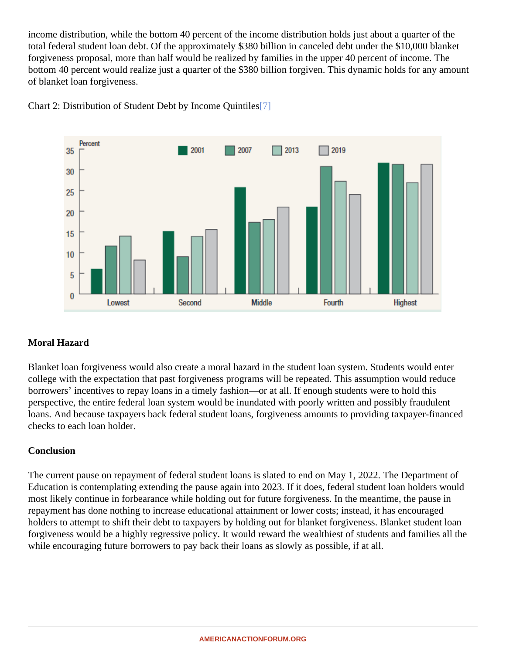<span id="page-3-0"></span>income distribution, while the bottom 40 percent of the income distribution holds just about a quarter of the total federal student loan debt. Of the approximately \$380 billion in canceled debt under the \$10,000 blanket forgiveness proposal, more than half would be realized by families in the upper 40 percent of income. The bottom 40 percent would realize just a quarter of the \$380 billion forgiven. This dynamic holds for any amount of blanket loan forgiveness.

Chart 2: Distribution of Student Debt by Income Qui[ntile](#page-4-0)s

#### Moral Hazard

Blanket loan forgiveness would also create a moral hazard in the student loan system. Students would enter college with the expectation that past forgiveness programs will be repeated. This assumption would reduce borrowers' incentives to repay loans in a timely fashion—or at all. If enough students were to hold this perspective, the entire federal loan system would be inundated with poorly written and possibly fraudulent loans. And because taxpayers back federal student loans, forgiveness amounts to providing taxpayer-finance checks to each loan holder.

#### **Conclusion**

The current pause on repayment of federal student loans is slated to end on May 1, 2022. The Department of Education is contemplating extending the pause again into 2023. If it does, federal student loan holders would most likely continue in forbearance while holding out for future forgiveness. In the meantime, the pause in repayment has done nothing to increase educational attainment or lower costs; instead, it has encouraged holders to attempt to shift their debt to taxpayers by holding out for blanket forgiveness. Blanket student loan forgiveness would be a highly regressive policy. It would reward the wealthiest of students and families all the while encouraging future borrowers to pay back their loans as slowly as possible, if at all.